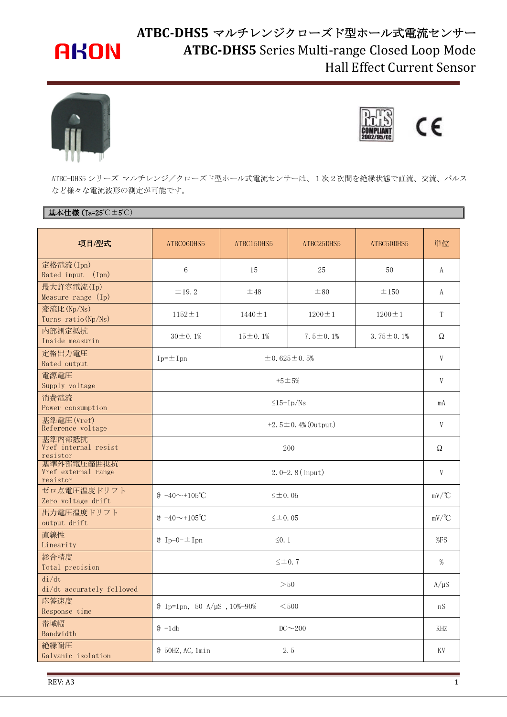# **AKON**

## **ATBC-DHS5** マルチレンジクローズド型ホール式電流センサー **ATBC-DHS5** Series Multi-range Closed Loop Mode Hall Effect Current Sensor





ATBC-DHS5 シリーズ マルチレンジ/クローズド型ホール式電流センサーは、1次2次間を絶縁状態で直流、交流、パルス など様々な電流波形の測定が可能です。

## **基本仕様(Ta=25℃±5℃)**

| 項目/型式                                         | ATBC06DHS5                                       | ATBC15DHS5     | ATBC25DHS5      | ATBC50DHS5         | 単位                  |
|-----------------------------------------------|--------------------------------------------------|----------------|-----------------|--------------------|---------------------|
| 定格電流(Ipn)<br>Rated input<br>(Ipn)             | $\,6\,$                                          | 15             | 25              | 50                 | A                   |
| 最大許容電流(Ip)<br>Measure range $(I_p)$           | $\pm$ 19.2                                       | ±48            | ±80             | ±150               | A                   |
| 変流比(Np/Ns)<br>Turns ratio (Np/Ns)             | $1152 \pm 1$                                     | $1440 \pm 1$   | $1200 \pm 1$    | $1200 \pm 1$       | T                   |
| 内部測定抵抗<br>Inside measurin                     | $30 \pm 0.1\%$                                   | $15 \pm 0.1\%$ | $7.5 \pm 0.1\%$ | 3.75 $\pm$ 0.1%    | Ω                   |
| 定格出力電圧<br>Rated output                        | $Ip=\pm Ipn$<br>$\pm 0.625 \pm 0.5%$             |                |                 | V                  |                     |
| 電源電圧<br>Supply voltage                        | $+5 \pm 5%$                                      |                |                 | V                  |                     |
| 消費電流<br>Power consumption                     | $\leq$ 15+Ip/Ns                                  |                |                 |                    | mA                  |
| 基準電圧 (Vref)<br>Reference voltage              | $+2.5 \pm 0.4\%$ (0utput)                        |                |                 |                    | V                   |
| 基準内部抵抗<br>Vref internal resist<br>resistor    | 200                                              |                |                 |                    | Ω                   |
| 基準外部電圧範囲抵抗<br>Vref external range<br>resistor | $2.0-2.8$ (Input)                                |                |                 |                    | V                   |
| ゼロ点電圧温度ドリフト<br>Zero voltage drift             | $(0, -40 \sim +105^{\circ}C)$<br>$\leq \pm 0.05$ |                |                 |                    | $mV$ <sup>o</sup> C |
| 出力電圧温度ドリフト<br>output drift                    | $& 40 \sim 105^{\circ}C$<br>$\leq \pm 0.05$      |                |                 | $mV$ $\mathcal{C}$ |                     |
| 直線性<br>Linearity                              | $\&$ Ip=0- $\pm$ Ipn<br>$\leq 0.1$               |                |                 |                    | %FS                 |
| 総合精度<br>Total precision                       | $\leq \pm 0.7$                                   |                |                 |                    | %                   |
| di/dt<br>di/dt accurately followed            | >50                                              |                |                 |                    |                     |
| 応答速度<br>Response time                         | @ Ip=Ipn, 50 A/µS , $10\% - 90\%$<br>$<$ 500     |                |                 |                    |                     |
| 帯域幅<br>Bandwidth                              | $@ -1db$<br>$DC \sim 200$                        |                |                 |                    | KHZ                 |
| 絶縁耐圧<br>Galvanic isolation                    | 2.5<br>$@$ 50HZ, AC, 1min                        |                |                 |                    | KV                  |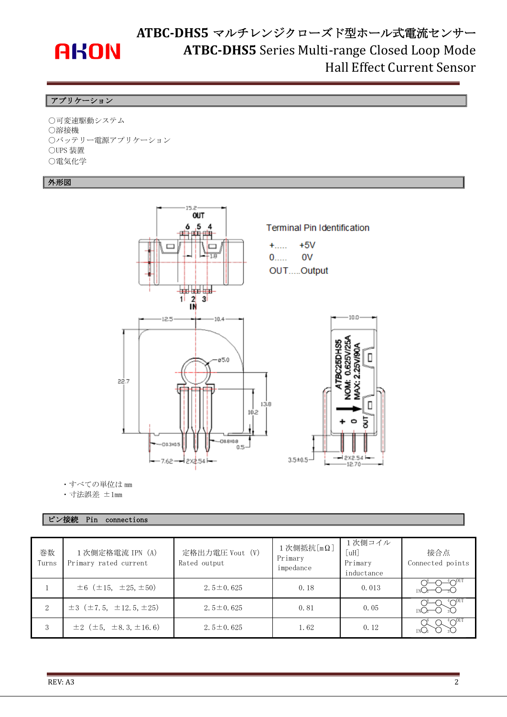

## **ATBC-DHS5** マルチレンジクローズド型ホール式電流センサー **ATBC-DHS5** Series Multi-range Closed Loop Mode Hall Effect Current Sensor

### アプリケーション

○可変速駆動システム ○溶接機 ○バッテリー電源アプリケーション ○UPS 装置 ○電気化学

### 外形図



・すべての単位は mm

・寸法誤差 ±1mm

### ピン接続 Pin connections

| 巻数<br>Turns | 1次側定格電流 IPN (A)<br>Primary rated current       | 定格出力電圧 Vout (V)<br>Rated output | 1次側抵抗 [mΩ]<br>Primary<br>impedance | 1次側コイル<br>[ uH]<br>Primary<br>inductance | 接合点<br>Connected points |
|-------------|------------------------------------------------|---------------------------------|------------------------------------|------------------------------------------|-------------------------|
|             | $\pm 6$ ( $\pm 15$ , $\pm 25$ , $\pm 50$ )     | $2.5 \pm 0.625$                 | 0.18                               | 0.013                                    |                         |
| 2           | $\pm 3$ ( $\pm 7.5$ , $\pm 12.5$ , $\pm 25$ )  | $2.5 \pm 0.625$                 | 0.81                               | 0.05                                     |                         |
| 3           | $\pm 2$ ( $\pm 5$ , $\pm 8$ , 3, $\pm 16$ , 6) | $2.5 \pm 0.625$                 | 1.62                               | 0.12                                     | $\Lambda^{\rm 0U1}$     |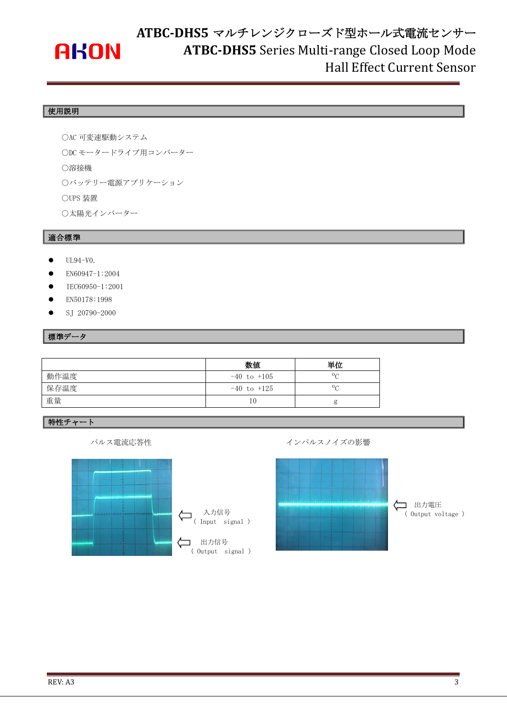# **AKON**

# **ATBC-DHS5** マルチレンジクローズド型ホール式電流センサー **ATBC-DHS5** Series Multi-range Closed Loop Mode Hall Effect Current Sensor

## 使用説明

○AC 可変速駆動システム ○DC モータードライブ用コンバーター ○溶接機 ○バッテリー電源アプリケーション ○UPS 装置 ○太陽光インバーター

### 適合標準

- UL94-V0.
- EN60947-1:2004
- IEC60950-1:2001
- EN50178:1998
- SJ 20790-2000

#### 標準データ

|      | 数值              | 単位             |
|------|-----------------|----------------|
| 動作温度 | $-40$ to $+105$ | $0\sigma$      |
| 保存温度 | $-40$ to $+125$ | 0 <sub>C</sub> |
| 重量   | 10              |                |

#### 特性チャート